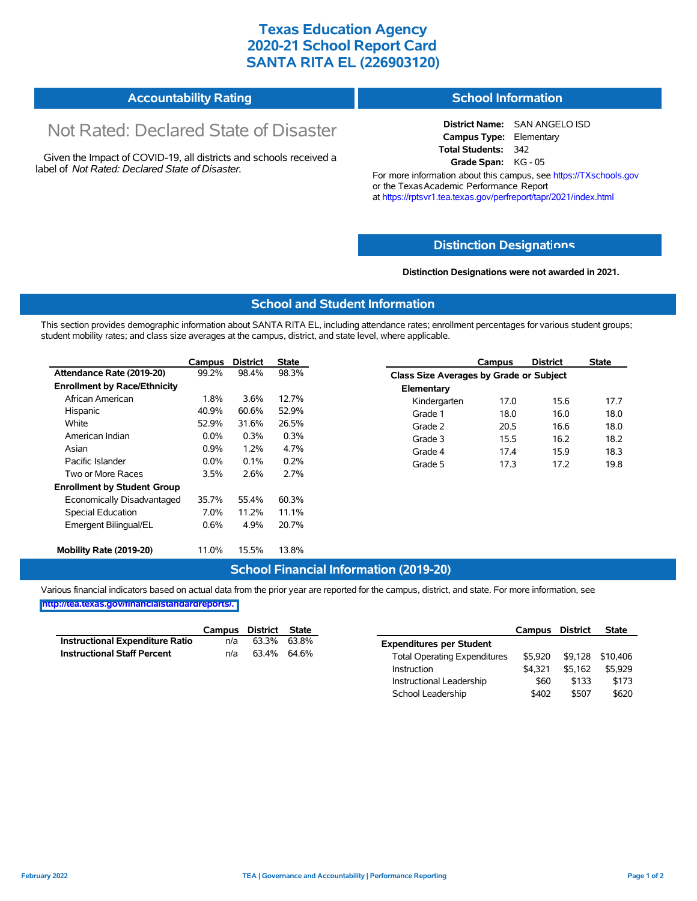# **Texas Education Agency 2020-21 School Report Card SANTA RITA EL (226903120)**

| <b>Accountability Rating</b> | <b>School Information</b> |
|------------------------------|---------------------------|
|                              |                           |

# Not Rated: Declared State of Disaster

Given the Impact of COVID-19, all districts and schools received a label of *Not Rated: Declared State of Disaster.*

**District Name:** SAN ANGELO ISD **Campus Type:** Elementary **Total Students:** 342 **Grade Span:** KG - 05

For more information about this campus, see https://TXschools.gov or the Texas Academic Performance Report at https://rptsvr1.tea.texas.gov/perfreport/tapr/2021/index.html

### **Distinction Designat[ions](https://TXschools.gov)**

**Distinction Designations were not awarded in 2021.**

School Leadership  $$402$  \$507 \$620

#### **School and Student Information**

This section provides demographic information about SANTA RITA EL, including attendance rates; enrollment percentages for various student groups; student mobility rates; and class size averages at the campus, district, and state level, where applicable.

|                                     | Campus  | <b>District</b> | State |              | Campus                                  | <b>District</b> | <b>State</b> |  |  |
|-------------------------------------|---------|-----------------|-------|--------------|-----------------------------------------|-----------------|--------------|--|--|
| Attendance Rate (2019-20)           | 99.2%   | 98.4%           | 98.3% |              | Class Size Averages by Grade or Subject |                 |              |  |  |
| <b>Enrollment by Race/Ethnicity</b> |         |                 |       | Elementary   |                                         |                 |              |  |  |
| African American                    | 1.8%    | 3.6%            | 12.7% | Kindergarten | 17.0                                    | 15.6            | 17.7         |  |  |
| Hispanic                            | 40.9%   | 60.6%           | 52.9% | Grade 1      | 18.0                                    | 16.0            | 18.0         |  |  |
| White                               | 52.9%   | 31.6%           | 26.5% | Grade 2      | 20.5                                    | 16.6            | 18.0         |  |  |
| American Indian                     | $0.0\%$ | 0.3%            | 0.3%  | Grade 3      | 15.5                                    | 16.2            | 18.2         |  |  |
| Asian                               | 0.9%    | 1.2%            | 4.7%  | Grade 4      | 17.4                                    | 15.9            | 18.3         |  |  |
| Pacific Islander                    | $0.0\%$ | 0.1%            | 0.2%  | Grade 5      | 17.3                                    | 17.2            | 19.8         |  |  |
| Two or More Races                   | 3.5%    | 2.6%            | 2.7%  |              |                                         |                 |              |  |  |
| <b>Enrollment by Student Group</b>  |         |                 |       |              |                                         |                 |              |  |  |
| Economically Disadvantaged          | 35.7%   | 55.4%           | 60.3% |              |                                         |                 |              |  |  |
| Special Education                   | 7.0%    | 11.2%           | 11.1% |              |                                         |                 |              |  |  |
| Emergent Bilingual/EL               | $0.6\%$ | 4.9%            | 20.7% |              |                                         |                 |              |  |  |
|                                     |         |                 |       |              |                                         |                 |              |  |  |
| Mobility Rate (2019-20)             | 11.0%   | 15.5%           | 13.8% |              |                                         |                 |              |  |  |

#### **School Financial Information (2019-20)**

Various financial indicators based on actual data from the prior year are reported for the campus, district, and state. For more information, see

**[http://tea.texas.gov/financialstandardreports/.](http://tea.texas.gov/financialstandardreports/)**

|                                        | Campus | District | State |                                     | Campus  | District | <b>State</b>     |
|----------------------------------------|--------|----------|-------|-------------------------------------|---------|----------|------------------|
| <b>Instructional Expenditure Ratio</b> | n/a    | 63.3%    | 63.8% | <b>Expenditures per Student</b>     |         |          |                  |
| <b>Instructional Staff Percent</b>     | n/a    | 63.4%    | 64.6% | <b>Total Operating Expenditures</b> | \$5.920 |          | \$9,128 \$10,406 |
|                                        |        |          |       | Instruction                         | \$4.321 | \$5.162  | \$5.929          |
|                                        |        |          |       | Instructional Leadership            | \$60    | \$133    | \$173            |